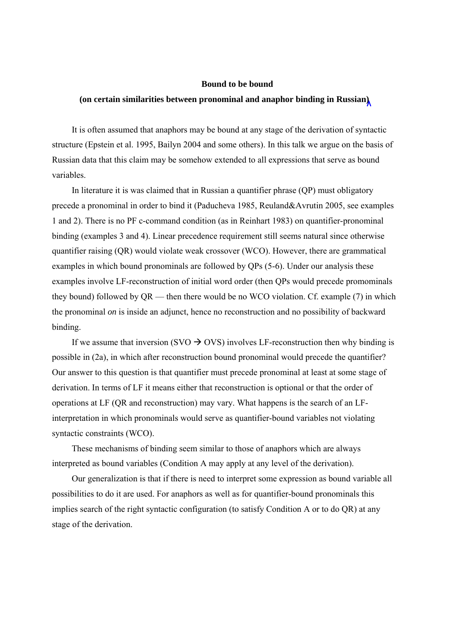## **Bound to be bound**

## **(on certain similarities between pronominal and anaphor binding in Russian)**

It is often assumed that anaphors may be bound at any stage of the derivation of syntactic structure (Epstein et al. 1995, Bailyn 2004 and some others). In this talk we argue on the basis of Russian data that this claim may be somehow extended to all expressions that serve as bound variables.

In literature it is was claimed that in Russian a quantifier phrase (QP) must obligatory precede a pronominal in order to bind it (Paducheva 1985, Reuland&Avrutin 2005, see examples 1 and 2). There is no PF c-command condition (as in Reinhart 1983) on quantifier-pronominal binding (examples 3 and 4). Linear precedence requirement still seems natural since otherwise quantifier raising (QR) would violate weak crossover (WCO). However, there are grammatical examples in which bound pronominals are followed by QPs (5-6). Under our analysis these examples involve LF-reconstruction of initial word order (then QPs would precede promominals they bound) followed by QR — then there would be no WCO violation. Cf. example (7) in which the pronominal *on* is inside an adjunct, hence no reconstruction and no possibility of backward binding.

If we assume that inversion (SVO  $\rightarrow$  OVS) involves LF-reconstruction then why binding is possible in (2a), in which after reconstruction bound pronominal would precede the quantifier? Our answer to this question is that quantifier must precede pronominal at least at some stage of derivation. In terms of LF it means either that reconstruction is optional or that the order of operations at LF (QR and reconstruction) may vary. What happens is the search of an LFinterpretation in which pronominals would serve as quantifier-bound variables not violating syntactic constraints (WCO).

These mechanisms of binding seem similar to those of anaphors which are always interpreted as bound variables (Condition A may apply at any level of the derivation).

Our generalization is that if there is need to interpret some expression as bound variable all possibilities to do it are used. For anaphors as well as for quantifier-bound pronominals this implies search of the right syntactic configuration (to satisfy Condition A or to do QR) at any stage of the derivation.